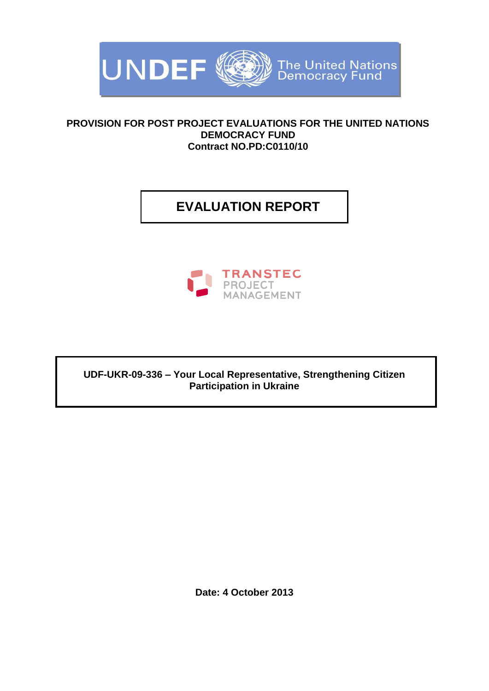

### **PROVISION FOR POST PROJECT EVALUATIONS FOR THE UNITED NATIONS DEMOCRACY FUND Contract NO.PD:C0110/10**

# **EVALUATION REPORT**



**UDF-UKR-09-336 – Your Local Representative, Strengthening Citizen Participation in Ukraine**

**Date: 4 October 2013**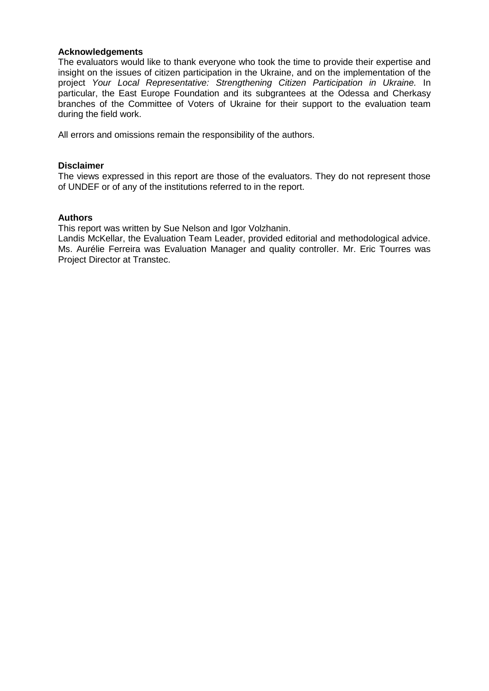#### **Acknowledgements**

The evaluators would like to thank everyone who took the time to provide their expertise and insight on the issues of citizen participation in the Ukraine, and on the implementation of the project *Your Local Representative: Strengthening Citizen Participation in Ukraine.* In particular, the East Europe Foundation and its subgrantees at the Odessa and Cherkasy branches of the Committee of Voters of Ukraine for their support to the evaluation team during the field work.

All errors and omissions remain the responsibility of the authors.

#### **Disclaimer**

The views expressed in this report are those of the evaluators. They do not represent those of UNDEF or of any of the institutions referred to in the report.

#### **Authors**

This report was written by Sue Nelson and Igor Volzhanin.

Landis McKellar, the Evaluation Team Leader, provided editorial and methodological advice. Ms. Aurélie Ferreira was Evaluation Manager and quality controller. Mr. Eric Tourres was Project Director at Transtec.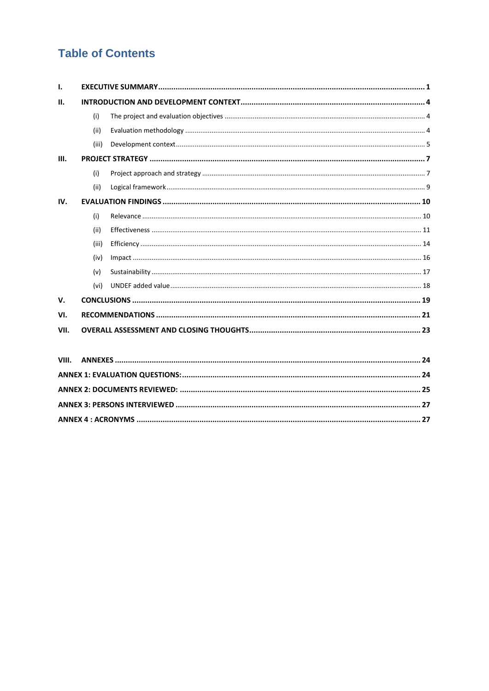# **Table of Contents**

| $\mathbf{L}$ |       |  |  |
|--------------|-------|--|--|
| Ш.           |       |  |  |
|              | (i)   |  |  |
|              | (ii)  |  |  |
|              | (iii) |  |  |
| III.         |       |  |  |
|              | (i)   |  |  |
|              | (ii)  |  |  |
| IV.          |       |  |  |
|              | (i)   |  |  |
|              | (ii)  |  |  |
|              | (iii) |  |  |
|              | (iv)  |  |  |
|              | (v)   |  |  |
|              | (vi)  |  |  |
| V.           |       |  |  |
| VI.          |       |  |  |
| VII.         |       |  |  |
|              |       |  |  |
| VIII.        |       |  |  |
|              |       |  |  |
|              |       |  |  |
|              |       |  |  |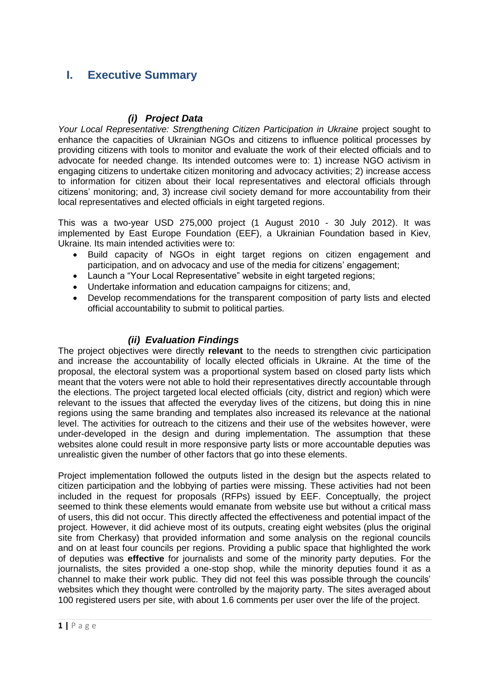# <span id="page-3-0"></span>**I. Executive Summary**

### *(i) Project Data*

*Your Local Representative: Strengthening Citizen Participation in Ukraine project sought to* enhance the capacities of Ukrainian NGOs and citizens to influence political processes by providing citizens with tools to monitor and evaluate the work of their elected officials and to advocate for needed change. Its intended outcomes were to: 1) increase NGO activism in engaging citizens to undertake citizen monitoring and advocacy activities; 2) increase access to information for citizen about their local representatives and electoral officials through citizens' monitoring; and, 3) increase civil society demand for more accountability from their local representatives and elected officials in eight targeted regions.

This was a two-year USD 275,000 project (1 August 2010 - 30 July 2012). It was implemented by East Europe Foundation (EEF), a Ukrainian Foundation based in Kiev, Ukraine. Its main intended activities were to:

- Build capacity of NGOs in eight target regions on citizen engagement and participation, and on advocacy and use of the media for citizens' engagement;
- Launch a "Your Local Representative" website in eight targeted regions;
- Undertake information and education campaigns for citizens; and,
- Develop recommendations for the transparent composition of party lists and elected official accountability to submit to political parties.

### *(ii) Evaluation Findings*

The project objectives were directly **relevant** to the needs to strengthen civic participation and increase the accountability of locally elected officials in Ukraine. At the time of the proposal, the electoral system was a proportional system based on closed party lists which meant that the voters were not able to hold their representatives directly accountable through the elections. The project targeted local elected officials (city, district and region) which were relevant to the issues that affected the everyday lives of the citizens, but doing this in nine regions using the same branding and templates also increased its relevance at the national level. The activities for outreach to the citizens and their use of the websites however, were under-developed in the design and during implementation. The assumption that these websites alone could result in more responsive party lists or more accountable deputies was unrealistic given the number of other factors that go into these elements.

Project implementation followed the outputs listed in the design but the aspects related to citizen participation and the lobbying of parties were missing. These activities had not been included in the request for proposals (RFPs) issued by EEF. Conceptually, the project seemed to think these elements would emanate from website use but without a critical mass of users, this did not occur. This directly affected the effectiveness and potential impact of the project. However, it did achieve most of its outputs, creating eight websites (plus the original site from Cherkasy) that provided information and some analysis on the regional councils and on at least four councils per regions. Providing a public space that highlighted the work of deputies was **effective** for journalists and some of the minority party deputies. For the journalists, the sites provided a one-stop shop, while the minority deputies found it as a channel to make their work public. They did not feel this was possible through the councils' websites which they thought were controlled by the majority party. The sites averaged about 100 registered users per site, with about 1.6 comments per user over the life of the project.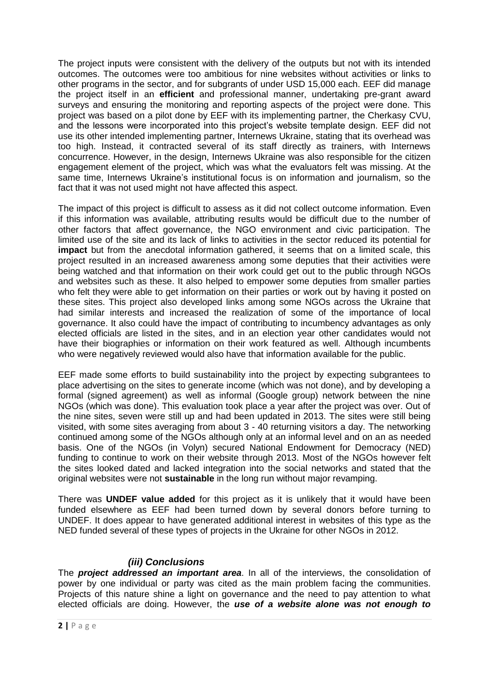The project inputs were consistent with the delivery of the outputs but not with its intended outcomes. The outcomes were too ambitious for nine websites without activities or links to other programs in the sector, and for subgrants of under USD 15,000 each. EEF did manage the project itself in an **efficient** and professional manner, undertaking pre-grant award surveys and ensuring the monitoring and reporting aspects of the project were done. This project was based on a pilot done by EEF with its implementing partner, the Cherkasy CVU, and the lessons were incorporated into this project's website template design. EEF did not use its other intended implementing partner, Internews Ukraine, stating that its overhead was too high. Instead, it contracted several of its staff directly as trainers, with Internews concurrence. However, in the design, Internews Ukraine was also responsible for the citizen engagement element of the project, which was what the evaluators felt was missing. At the same time, Internews Ukraine's institutional focus is on information and journalism, so the fact that it was not used might not have affected this aspect.

The impact of this project is difficult to assess as it did not collect outcome information. Even if this information was available, attributing results would be difficult due to the number of other factors that affect governance, the NGO environment and civic participation. The limited use of the site and its lack of links to activities in the sector reduced its potential for **impact** but from the anecdotal information gathered, it seems that on a limited scale, this project resulted in an increased awareness among some deputies that their activities were being watched and that information on their work could get out to the public through NGOs and websites such as these. It also helped to empower some deputies from smaller parties who felt they were able to get information on their parties or work out by having it posted on these sites. This project also developed links among some NGOs across the Ukraine that had similar interests and increased the realization of some of the importance of local governance. It also could have the impact of contributing to incumbency advantages as only elected officials are listed in the sites, and in an election year other candidates would not have their biographies or information on their work featured as well. Although incumbents who were negatively reviewed would also have that information available for the public.

EEF made some efforts to build sustainability into the project by expecting subgrantees to place advertising on the sites to generate income (which was not done), and by developing a formal (signed agreement) as well as informal (Google group) network between the nine NGOs (which was done). This evaluation took place a year after the project was over. Out of the nine sites, seven were still up and had been updated in 2013. The sites were still being visited, with some sites averaging from about 3 - 40 returning visitors a day. The networking continued among some of the NGOs although only at an informal level and on an as needed basis. One of the NGOs (in Volyn) secured National Endowment for Democracy (NED) funding to continue to work on their website through 2013. Most of the NGOs however felt the sites looked dated and lacked integration into the social networks and stated that the original websites were not **sustainable** in the long run without major revamping.

There was **UNDEF value added** for this project as it is unlikely that it would have been funded elsewhere as EEF had been turned down by several donors before turning to UNDEF. It does appear to have generated additional interest in websites of this type as the NED funded several of these types of projects in the Ukraine for other NGOs in 2012.

## *(iii) Conclusions*

The *project addressed an important area*. In all of the interviews, the consolidation of power by one individual or party was cited as the main problem facing the communities. Projects of this nature shine a light on governance and the need to pay attention to what elected officials are doing. However, the *use of a website alone was not enough to*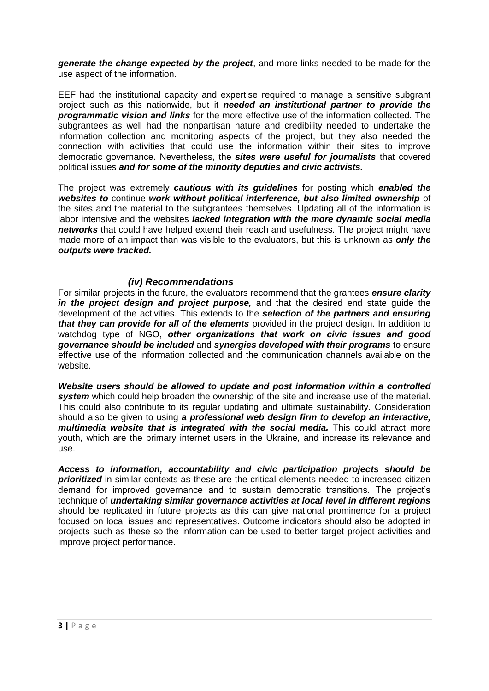*generate the change expected by the project*, and more links needed to be made for the use aspect of the information.

EEF had the institutional capacity and expertise required to manage a sensitive subgrant project such as this nationwide, but it *needed an institutional partner to provide the programmatic vision and links* for the more effective use of the information collected. The subgrantees as well had the nonpartisan nature and credibility needed to undertake the information collection and monitoring aspects of the project, but they also needed the connection with activities that could use the information within their sites to improve democratic governance. Nevertheless, the *sites were useful for journalists* that covered political issues *and for some of the minority deputies and civic activists.*

The project was extremely *cautious with its guidelines* for posting which *enabled the websites to* continue *work without political interference, but also limited ownership* of the sites and the material to the subgrantees themselves. Updating all of the information is labor intensive and the websites *lacked integration with the more dynamic social media networks* that could have helped extend their reach and usefulness. The project might have made more of an impact than was visible to the evaluators, but this is unknown as *only the outputs were tracked.*

### *(iv) Recommendations*

For similar projects in the future, the evaluators recommend that the grantees *ensure clarity in the project design and project purpose,* and that the desired end state guide the development of the activities. This extends to the *selection of the partners and ensuring that they can provide for all of the elements* provided in the project design. In addition to watchdog type of NGO, *other organizations that work on civic issues and good governance should be included* and *synergies developed with their programs* to ensure effective use of the information collected and the communication channels available on the website.

*Website users should be allowed to update and post information within a controlled system* which could help broaden the ownership of the site and increase use of the material. This could also contribute to its regular updating and ultimate sustainability. Consideration should also be given to using *a professional web design firm to develop an interactive, multimedia website that is integrated with the social media.* This could attract more youth, which are the primary internet users in the Ukraine, and increase its relevance and use.

*Access to information, accountability and civic participation projects should be*  **prioritized** in similar contexts as these are the critical elements needed to increased citizen demand for improved governance and to sustain democratic transitions. The project's technique of *undertaking similar governance activities at local level in different regions*  should be replicated in future projects as this can give national prominence for a project focused on local issues and representatives. Outcome indicators should also be adopted in projects such as these so the information can be used to better target project activities and improve project performance.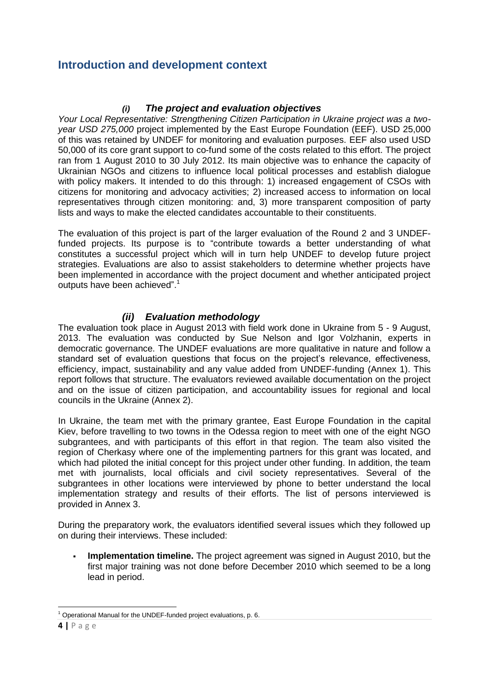# <span id="page-6-0"></span>**Introduction and development context**

### *(i) The project and evaluation objectives*

<span id="page-6-1"></span>*Your Local Representative: Strengthening Citizen Participation in Ukraine project was a twoyear USD 275,000* project implemented by the East Europe Foundation (EEF). USD 25,000 of this was retained by UNDEF for monitoring and evaluation purposes. EEF also used USD 50,000 of its core grant support to co-fund some of the costs related to this effort. The project ran from 1 August 2010 to 30 July 2012. Its main objective was to enhance the capacity of Ukrainian NGOs and citizens to influence local political processes and establish dialogue with policy makers. It intended to do this through: 1) increased engagement of CSOs with citizens for monitoring and advocacy activities; 2) increased access to information on local representatives through citizen monitoring: and, 3) more transparent composition of party lists and ways to make the elected candidates accountable to their constituents.

The evaluation of this project is part of the larger evaluation of the Round 2 and 3 UNDEFfunded projects. Its purpose is to "contribute towards a better understanding of what constitutes a successful project which will in turn help UNDEF to develop future project strategies. Evaluations are also to assist stakeholders to determine whether projects have been implemented in accordance with the project document and whether anticipated project outputs have been achieved". 1

### *(ii) Evaluation methodology*

<span id="page-6-2"></span>The evaluation took place in August 2013 with field work done in Ukraine from 5 - 9 August, 2013. The evaluation was conducted by Sue Nelson and Igor Volzhanin, experts in democratic governance. The UNDEF evaluations are more qualitative in nature and follow a standard set of evaluation questions that focus on the project's relevance, effectiveness, efficiency, impact, sustainability and any value added from UNDEF-funding (Annex 1). This report follows that structure. The evaluators reviewed available documentation on the project and on the issue of citizen participation, and accountability issues for regional and local councils in the Ukraine (Annex 2).

In Ukraine, the team met with the primary grantee, East Europe Foundation in the capital Kiev, before travelling to two towns in the Odessa region to meet with one of the eight NGO subgrantees, and with participants of this effort in that region. The team also visited the region of Cherkasy where one of the implementing partners for this grant was located, and which had piloted the initial concept for this project under other funding. In addition, the team met with journalists, local officials and civil society representatives. Several of the subgrantees in other locations were interviewed by phone to better understand the local implementation strategy and results of their efforts. The list of persons interviewed is provided in Annex 3.

During the preparatory work, the evaluators identified several issues which they followed up on during their interviews. These included:

 **Implementation timeline.** The project agreement was signed in August 2010, but the first major training was not done before December 2010 which seemed to be a long lead in period.

**<sup>.</sup>** <sup>1</sup> Operational Manual for the UNDEF-funded project evaluations, p. 6.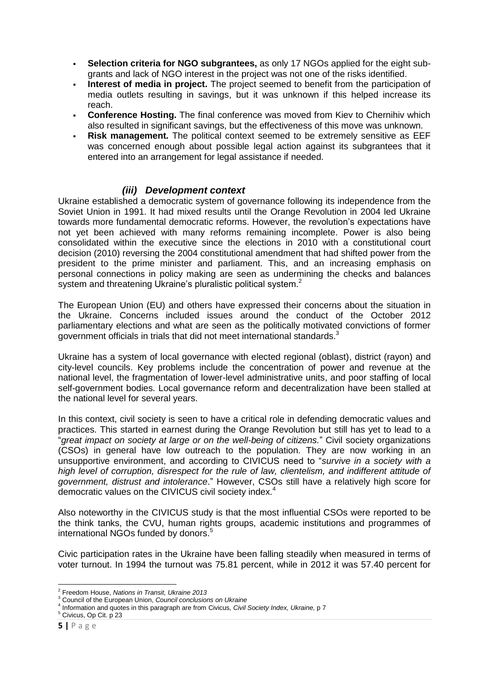- **Selection criteria for NGO subgrantees,** as only 17 NGOs applied for the eight subgrants and lack of NGO interest in the project was not one of the risks identified.
- **Interest of media in project.** The project seemed to benefit from the participation of media outlets resulting in savings, but it was unknown if this helped increase its reach.
- **Conference Hosting.** The final conference was moved from Kiev to Chernihiv which also resulted in significant savings, but the effectiveness of this move was unknown.
- **Risk management.** The political context seemed to be extremely sensitive as EEF was concerned enough about possible legal action against its subgrantees that it entered into an arrangement for legal assistance if needed.

### *(iii) Development context*

<span id="page-7-0"></span>Ukraine established a democratic system of governance following its independence from the Soviet Union in 1991. It had mixed results until the Orange Revolution in 2004 led Ukraine towards more fundamental democratic reforms. However, the revolution's expectations have not yet been achieved with many reforms remaining incomplete. Power is also being consolidated within the executive since the elections in 2010 with a constitutional court decision (2010) reversing the 2004 constitutional amendment that had shifted power from the president to the prime minister and parliament. This, and an increasing emphasis on personal connections in policy making are seen as undermining the checks and balances system and threatening Ukraine's pluralistic political system.<sup>2</sup>

The European Union (EU) and others have expressed their concerns about the situation in the Ukraine. Concerns included issues around the conduct of the October 2012 parliamentary elections and what are seen as the politically motivated convictions of former government officials in trials that did not meet international standards.<sup>3</sup>

Ukraine has a system of local governance with elected regional (oblast), district (rayon) and city-level councils. Key problems include the concentration of power and revenue at the national level, the fragmentation of lower-level administrative units, and poor staffing of local self-government bodies. Local governance reform and decentralization have been stalled at the national level for several years.

In this context, civil society is seen to have a critical role in defending democratic values and practices. This started in earnest during the Orange Revolution but still has yet to lead to a "*great impact on society at large or on the well-being of citizens.*" Civil society organizations (CSOs) in general have low outreach to the population. They are now working in an unsupportive environment, and according to CIVICUS need to "*survive in a society with a high level of corruption, disrespect for the rule of law, clientelism, and indifferent attitude of government, distrust and intolerance*." However, CSOs still have a relatively high score for democratic values on the CIVICUS civil society index.<sup>4</sup>

Also noteworthy in the CIVICUS study is that the most influential CSOs were reported to be the think tanks, the CVU, human rights groups, academic institutions and programmes of international NGOs funded by donors.<sup>5</sup>

Civic participation rates in the Ukraine have been falling steadily when measured in terms of voter turnout. In 1994 the turnout was 75.81 percent, while in 2012 it was 57.40 percent for

 2 Freedom House, *Nations in Transit, Ukraine 2013*

<sup>3</sup> Council of the European Union, *Council conclusions on Ukraine*

<sup>4</sup> Information and quotes in this paragraph are from Civicus, *Civil Society Index, Ukraine,* p 7

<sup>5</sup> Civicus, Op Cit. p 23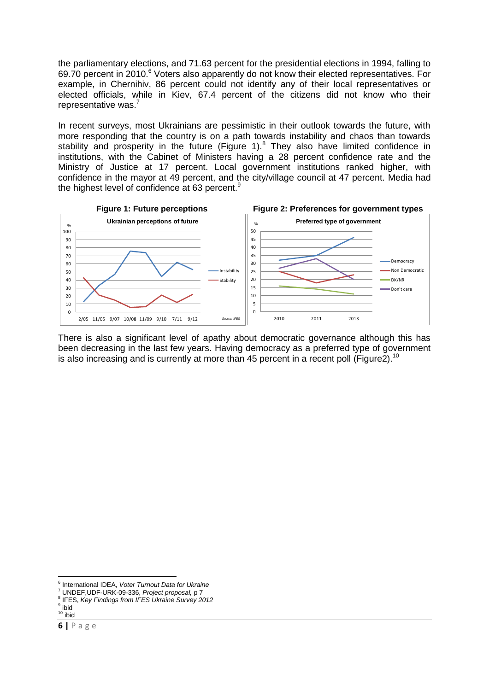the parliamentary elections, and 71.63 percent for the presidential elections in 1994, falling to 69.70 percent in 2010.<sup>6</sup> Voters also apparently do not know their elected representatives. For example, in Chernihiv, 86 percent could not identify any of their local representatives or elected officials, while in Kiev, 67.4 percent of the citizens did not know who their representative was.<sup>7</sup>

In recent surveys, most Ukrainians are pessimistic in their outlook towards the future, with more responding that the country is on a path towards instability and chaos than towards stability and prosperity in the future (Figure 1). $8$  They also have limited confidence in institutions, with the Cabinet of Ministers having a 28 percent confidence rate and the Ministry of Justice at 17 percent. Local government institutions ranked higher, with confidence in the mayor at 49 percent, and the city/village council at 47 percent. Media had the highest level of confidence at 63 percent.<sup>9</sup>



There is also a significant level of apathy about democratic governance although this has been decreasing in the last few years. Having democracy as a preferred type of government is also increasing and is currently at more than 45 percent in a recent poll (Figure2).<sup>10</sup>

8 IFES, *Key Findings from IFES Ukraine Survey 2012*

 6 International IDEA, *Voter Turnout Data for Ukraine*

<sup>7</sup> UNDEF,UDF-URK-09-336, *Project proposal,* p 7

<sup>&</sup>lt;sup>9</sup> ibid  $10$  ibid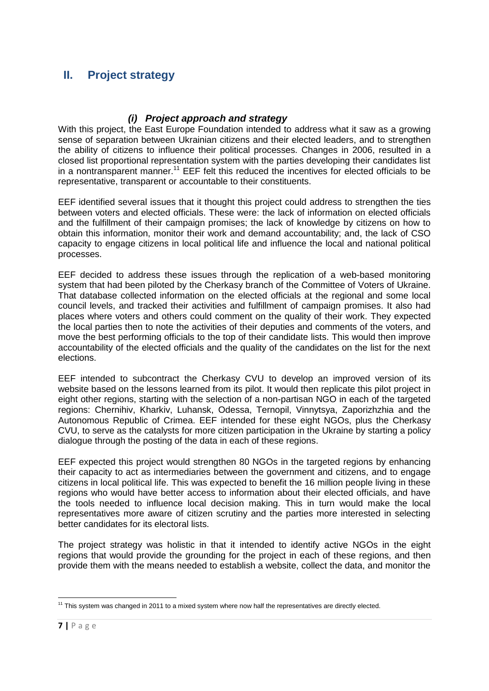# <span id="page-9-0"></span>**II. Project strategy**

### *(i) Project approach and strategy*

<span id="page-9-1"></span>With this project, the East Europe Foundation intended to address what it saw as a growing sense of separation between Ukrainian citizens and their elected leaders, and to strengthen the ability of citizens to influence their political processes. Changes in 2006, resulted in a closed list proportional representation system with the parties developing their candidates list in a nontransparent manner.<sup>11</sup> EEF felt this reduced the incentives for elected officials to be representative, transparent or accountable to their constituents.

EEF identified several issues that it thought this project could address to strengthen the ties between voters and elected officials. These were: the lack of information on elected officials and the fulfillment of their campaign promises; the lack of knowledge by citizens on how to obtain this information, monitor their work and demand accountability; and, the lack of CSO capacity to engage citizens in local political life and influence the local and national political processes.

EEF decided to address these issues through the replication of a web-based monitoring system that had been piloted by the Cherkasy branch of the Committee of Voters of Ukraine. That database collected information on the elected officials at the regional and some local council levels, and tracked their activities and fulfillment of campaign promises. It also had places where voters and others could comment on the quality of their work. They expected the local parties then to note the activities of their deputies and comments of the voters, and move the best performing officials to the top of their candidate lists. This would then improve accountability of the elected officials and the quality of the candidates on the list for the next elections.

EEF intended to subcontract the Cherkasy CVU to develop an improved version of its website based on the lessons learned from its pilot. It would then replicate this pilot project in eight other regions, starting with the selection of a non-partisan NGO in each of the targeted regions: Chernihiv, Kharkiv, Luhansk, Odessa, Ternopil, Vinnytsya, Zaporizhzhia and the Autonomous Republic of Crimea. EEF intended for these eight NGOs, plus the Cherkasy CVU, to serve as the catalysts for more citizen participation in the Ukraine by starting a policy dialogue through the posting of the data in each of these regions.

EEF expected this project would strengthen 80 NGOs in the targeted regions by enhancing their capacity to act as intermediaries between the government and citizens, and to engage citizens in local political life. This was expected to benefit the 16 million people living in these regions who would have better access to information about their elected officials, and have the tools needed to influence local decision making. This in turn would make the local representatives more aware of citizen scrutiny and the parties more interested in selecting better candidates for its electoral lists.

The project strategy was holistic in that it intended to identify active NGOs in the eight regions that would provide the grounding for the project in each of these regions, and then provide them with the means needed to establish a website, collect the data, and monitor the

 $\overline{a}$ 

 $11$  This system was changed in 2011 to a mixed system where now half the representatives are directly elected.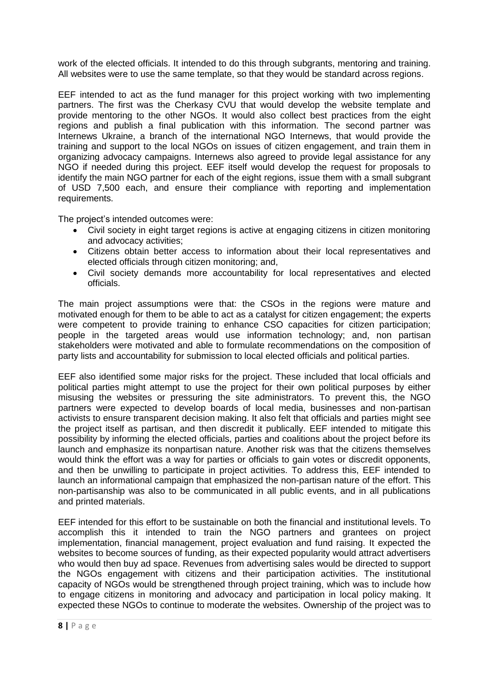work of the elected officials. It intended to do this through subgrants, mentoring and training. All websites were to use the same template, so that they would be standard across regions.

EEF intended to act as the fund manager for this project working with two implementing partners. The first was the Cherkasy CVU that would develop the website template and provide mentoring to the other NGOs. It would also collect best practices from the eight regions and publish a final publication with this information. The second partner was Internews Ukraine, a branch of the international NGO Internews, that would provide the training and support to the local NGOs on issues of citizen engagement, and train them in organizing advocacy campaigns. Internews also agreed to provide legal assistance for any NGO if needed during this project. EEF itself would develop the request for proposals to identify the main NGO partner for each of the eight regions, issue them with a small subgrant of USD 7,500 each, and ensure their compliance with reporting and implementation requirements.

The project's intended outcomes were:

- Civil society in eight target regions is active at engaging citizens in citizen monitoring and advocacy activities;
- Citizens obtain better access to information about their local representatives and elected officials through citizen monitoring; and,
- Civil society demands more accountability for local representatives and elected officials.

The main project assumptions were that: the CSOs in the regions were mature and motivated enough for them to be able to act as a catalyst for citizen engagement; the experts were competent to provide training to enhance CSO capacities for citizen participation; people in the targeted areas would use information technology; and, non partisan stakeholders were motivated and able to formulate recommendations on the composition of party lists and accountability for submission to local elected officials and political parties.

EEF also identified some major risks for the project. These included that local officials and political parties might attempt to use the project for their own political purposes by either misusing the websites or pressuring the site administrators. To prevent this, the NGO partners were expected to develop boards of local media, businesses and non-partisan activists to ensure transparent decision making. It also felt that officials and parties might see the project itself as partisan, and then discredit it publically. EEF intended to mitigate this possibility by informing the elected officials, parties and coalitions about the project before its launch and emphasize its nonpartisan nature. Another risk was that the citizens themselves would think the effort was a way for parties or officials to gain votes or discredit opponents, and then be unwilling to participate in project activities. To address this, EEF intended to launch an informational campaign that emphasized the non-partisan nature of the effort. This non-partisanship was also to be communicated in all public events, and in all publications and printed materials.

EEF intended for this effort to be sustainable on both the financial and institutional levels. To accomplish this it intended to train the NGO partners and grantees on project implementation, financial management, project evaluation and fund raising. It expected the websites to become sources of funding, as their expected popularity would attract advertisers who would then buy ad space. Revenues from advertising sales would be directed to support the NGOs engagement with citizens and their participation activities. The institutional capacity of NGOs would be strengthened through project training, which was to include how to engage citizens in monitoring and advocacy and participation in local policy making. It expected these NGOs to continue to moderate the websites. Ownership of the project was to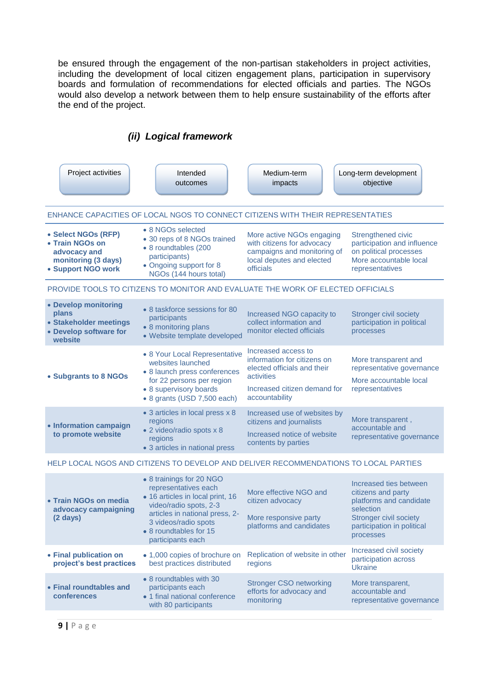<span id="page-11-0"></span>be ensured through the engagement of the non-partisan stakeholders in project activities, including the development of local citizen engagement plans, participation in supervisory boards and formulation of recommendations for elected officials and parties. The NGOs would also develop a network between them to help ensure sustainability of the efforts after the end of the project.

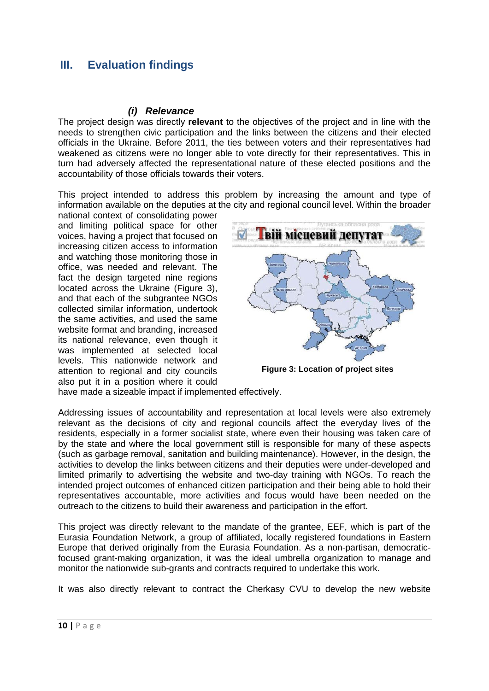# <span id="page-12-1"></span><span id="page-12-0"></span>**III. Evaluation findings**

### *(i) Relevance*

The project design was directly **relevant** to the objectives of the project and in line with the needs to strengthen civic participation and the links between the citizens and their elected officials in the Ukraine. Before 2011, the ties between voters and their representatives had weakened as citizens were no longer able to vote directly for their representatives. This in turn had adversely affected the representational nature of these elected positions and the accountability of those officials towards their voters.

This project intended to address this problem by increasing the amount and type of information available on the deputies at the city and regional council level. Within the broader

national context of consolidating power and limiting political space for other voices, having a project that focused on increasing citizen access to information and watching those monitoring those in office, was needed and relevant. The fact the design targeted nine regions located across the Ukraine (Figure 3), and that each of the subgrantee NGOs collected similar information, undertook the same activities, and used the same website format and branding, increased its national relevance, even though it was implemented at selected local levels. This nationwide network and attention to regional and city councils also put it in a position where it could



**Figure 3: Location of project sites** 

have made a sizeable impact if implemented effectively.

Addressing issues of accountability and representation at local levels were also extremely relevant as the decisions of city and regional councils affect the everyday lives of the residents, especially in a former socialist state, where even their housing was taken care of by the state and where the local government still is responsible for many of these aspects (such as garbage removal, sanitation and building maintenance). However, in the design, the activities to develop the links between citizens and their deputies were under-developed and limited primarily to advertising the website and two-day training with NGOs. To reach the intended project outcomes of enhanced citizen participation and their being able to hold their representatives accountable, more activities and focus would have been needed on the outreach to the citizens to build their awareness and participation in the effort.

This project was directly relevant to the mandate of the grantee, EEF, which is part of the Eurasia Foundation Network, a group of affiliated, locally registered foundations in Eastern Europe that derived originally from the Eurasia Foundation. As a non-partisan, democraticfocused grant-making organization, it was the ideal umbrella organization to manage and monitor the nationwide sub-grants and contracts required to undertake this work.

It was also directly relevant to contract the Cherkasy CVU to develop the new website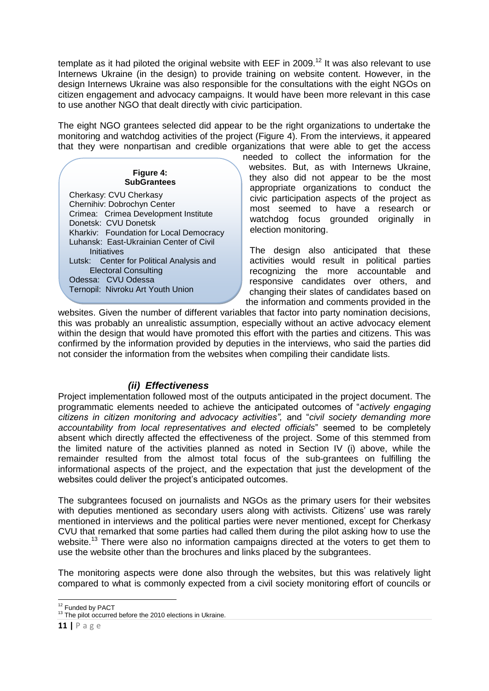template as it had piloted the original website with EEF in 2009.<sup>12</sup> It was also relevant to use Internews Ukraine (in the design) to provide training on website content. However, in the design Internews Ukraine was also responsible for the consultations with the eight NGOs on citizen engagement and advocacy campaigns. It would have been more relevant in this case to use another NGO that dealt directly with civic participation.

The eight NGO grantees selected did appear to be the right organizations to undertake the monitoring and watchdog activities of the project (Figure 4). From the interviews, it appeared that they were nonpartisan and credible organizations that were able to get the access

> **Figure 4: SubGrantees**

Cherkasy: CVU Cherkasy Chernihiv: Dobrochyn Center Crimea: Crimea Development Institute Donetsk: CVU Donetsk Kharkiv: Foundation for Local Democracy Luhansk: East-Ukrainian Center of Civil Initiatives Lutsk: Center for Political Analysis and Electoral Consulting Odessa: CVU Odessa Ternopil: Nivroku Art Youth Union

needed to collect the information for the websites. But, as with Internews Ukraine, they also did not appear to be the most appropriate organizations to conduct the civic participation aspects of the project as most seemed to have a research or watchdog focus grounded originally in election monitoring.

The design also anticipated that these activities would result in political parties recognizing the more accountable and responsive candidates over others, and changing their slates of candidates based on the information and comments provided in the

websites. Given the number of different variables that factor into party nomination decisions, this was probably an unrealistic assumption, especially without an active advocacy element within the design that would have promoted this effort with the parties and citizens. This was confirmed by the information provided by deputies in the interviews, who said the parties did not consider the information from the websites when compiling their candidate lists.

## *(ii) Effectiveness*

<span id="page-13-0"></span>Project implementation followed most of the outputs anticipated in the project document. The programmatic elements needed to achieve the anticipated outcomes of "*actively engaging citizens in citizen monitoring and advocacy activities",* and "*civil society demanding more accountability from local representatives and elected officials*" seemed to be completely absent which directly affected the effectiveness of the project. Some of this stemmed from the limited nature of the activities planned as noted in Section IV (i) above, while the remainder resulted from the almost total focus of the sub-grantees on fulfilling the informational aspects of the project, and the expectation that just the development of the websites could deliver the project's anticipated outcomes.

The subgrantees focused on journalists and NGOs as the primary users for their websites with deputies mentioned as secondary users along with activists. Citizens' use was rarely mentioned in interviews and the political parties were never mentioned, except for Cherkasy CVU that remarked that some parties had called them during the pilot asking how to use the website.<sup>13</sup> There were also no information campaigns directed at the voters to get them to use the website other than the brochures and links placed by the subgrantees.

The monitoring aspects were done also through the websites, but this was relatively light compared to what is commonly expected from a civil society monitoring effort of councils or

<sup>1</sup> <sup>12</sup> Funded by PACT

<sup>&</sup>lt;sup>13</sup> The pilot occurred before the 2010 elections in Ukraine.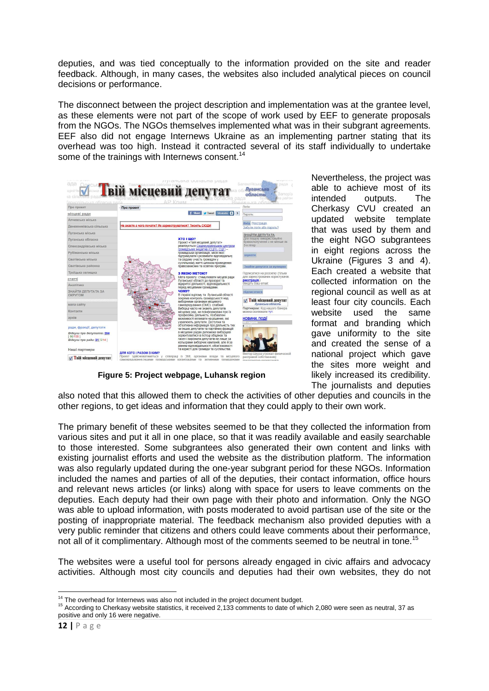deputies, and was tied conceptually to the information provided on the site and reader feedback. Although, in many cases, the websites also included analytical pieces on council decisions or performance.

The disconnect between the project description and implementation was at the grantee level, as these elements were not part of the scope of work used by EEF to generate proposals from the NGOs. The NGOs themselves implemented what was in their subgrant agreements. EEF also did not engage Internews Ukraine as an implementing partner stating that its overhead was too high. Instead it contracted several of its staff individually to undertake some of the trainings with Internews consent.<sup>14</sup>



**Figure 5: Project webpage, Luhansk region**

Nevertheless, the project was able to achieve most of its intended outputs. The Cherkasy CVU created an updated website template that was used by them and the eight NGO subgrantees in eight regions across the Ukraine (Figures 3 and 4). Each created a website that collected information on the regional council as well as at least four city councils. Each website used the same format and branding which gave uniformity to the site and created the sense of a national project which gave the sites more weight and likely increased its credibility. The journalists and deputies

also noted that this allowed them to check the activities of other deputies and councils in the other regions, to get ideas and information that they could apply to their own work.

The primary benefit of these websites seemed to be that they collected the information from various sites and put it all in one place, so that it was readily available and easily searchable to those interested. Some subgrantees also generated their own content and links with existing journalist efforts and used the website as the distribution platform. The information was also regularly updated during the one-year subgrant period for these NGOs. Information included the names and parties of all of the deputies, their contact information, office hours and relevant news articles (or links) along with space for users to leave comments on the deputies. Each deputy had their own page with their photo and information. Only the NGO was able to upload information, with posts moderated to avoid partisan use of the site or the posting of inappropriate material. The feedback mechanism also provided deputies with a very public reminder that citizens and others could leave comments about their performance, not all of it complimentary. Although most of the comments seemed to be neutral in tone.<sup>15</sup>

The websites were a useful tool for persons already engaged in civic affairs and advocacy activities. Although most city councils and deputies had their own websites, they do not

 $\overline{a}$  $14$  The overhead for Internews was also not included in the project document budget.

<sup>&</sup>lt;sup>15</sup> According to Cherkasy website statistics, it received 2,133 comments to date of which 2,080 were seen as neutral, 37 as positive and only 16 were negative.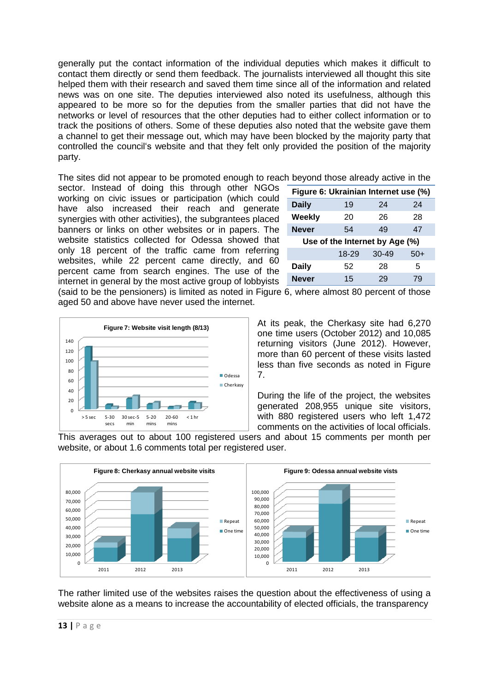generally put the contact information of the individual deputies which makes it difficult to contact them directly or send them feedback. The journalists interviewed all thought this site helped them with their research and saved them time since all of the information and related news was on one site. The deputies interviewed also noted its usefulness, although this appeared to be more so for the deputies from the smaller parties that did not have the networks or level of resources that the other deputies had to either collect information or to track the positions of others. Some of these deputies also noted that the website gave them a channel to get their message out, which may have been blocked by the majority party that controlled the council's website and that they felt only provided the position of the majority party.

The sites did not appear to be promoted enough to reach beyond those already active in the

sector. Instead of doing this through other NGOs working on civic issues or participation (which could have also increased their reach and generate synergies with other activities), the subgrantees placed banners or links on other websites or in papers. The website statistics collected for Odessa showed that only 18 percent of the traffic came from referring websites, while 22 percent came directly, and 60 percent came from search engines. The use of the internet in general by the most active group of lobbyists

| Figure 6: Ukrainian Internet use (%) |       |           |       |  |
|--------------------------------------|-------|-----------|-------|--|
| <b>Daily</b>                         | 19    | 24        | 24    |  |
| Weekly                               | 20    | 26        | 28    |  |
| <b>Never</b>                         | 54    | 49        | 47    |  |
| Use of the Internet by Age (%)       |       |           |       |  |
|                                      | 18-29 | $30 - 49$ | $50+$ |  |
| Daily                                | 52    | 28        | 5     |  |
| Never                                | 15    | 29        | 79    |  |
|                                      |       |           |       |  |

(said to be the pensioners) is limited as noted in Figure 6, where almost 80 percent of those aged 50 and above have never used the internet.



At its peak, the Cherkasy site had 6,270 one time users (October 2012) and 10,085 returning visitors (June 2012). However, more than 60 percent of these visits lasted less than five seconds as noted in Figure 7.

During the life of the project, the websites generated 208,955 unique site visitors, with 880 registered users who left 1,472 comments on the activities of local officials.

This averages out to about 100 registered users and about 15 comments per month per website, or about 1.6 comments total per registered user.



The rather limited use of the websites raises the question about the effectiveness of using a website alone as a means to increase the accountability of elected officials, the transparency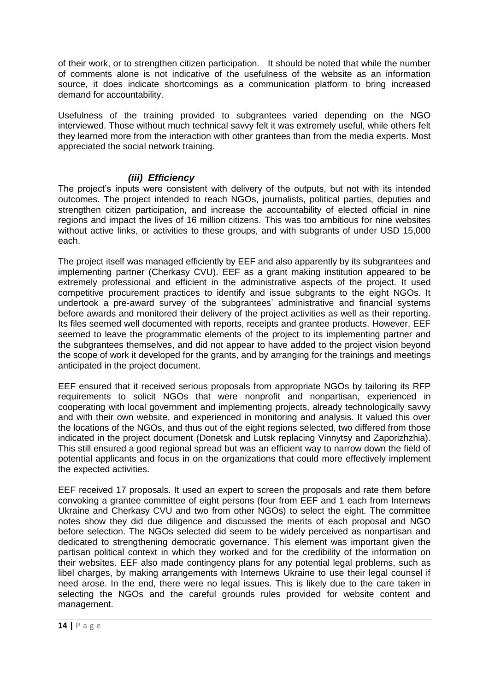of their work, or to strengthen citizen participation. It should be noted that while the number of comments alone is not indicative of the usefulness of the website as an information source, it does indicate shortcomings as a communication platform to bring increased demand for accountability.

Usefulness of the training provided to subgrantees varied depending on the NGO interviewed. Those without much technical savvy felt it was extremely useful, while others felt they learned more from the interaction with other grantees than from the media experts. Most appreciated the social network training.

### <span id="page-16-0"></span>*(iii) Efficiency*

The project's inputs were consistent with delivery of the outputs, but not with its intended outcomes. The project intended to reach NGOs, journalists, political parties, deputies and strengthen citizen participation, and increase the accountability of elected official in nine regions and impact the lives of 16 million citizens. This was too ambitious for nine websites without active links, or activities to these groups, and with subgrants of under USD 15,000 each.

The project itself was managed efficiently by EEF and also apparently by its subgrantees and implementing partner (Cherkasy CVU). EEF as a grant making institution appeared to be extremely professional and efficient in the administrative aspects of the project. It used competitive procurement practices to identify and issue subgrants to the eight NGOs. It undertook a pre-award survey of the subgrantees' administrative and financial systems before awards and monitored their delivery of the project activities as well as their reporting. Its files seemed well documented with reports, receipts and grantee products. However, EEF seemed to leave the programmatic elements of the project to its implementing partner and the subgrantees themselves, and did not appear to have added to the project vision beyond the scope of work it developed for the grants, and by arranging for the trainings and meetings anticipated in the project document.

EEF ensured that it received serious proposals from appropriate NGOs by tailoring its RFP requirements to solicit NGOs that were nonprofit and nonpartisan, experienced in cooperating with local government and implementing projects, already technologically savvy and with their own website, and experienced in monitoring and analysis. It valued this over the locations of the NGOs, and thus out of the eight regions selected, two differed from those indicated in the project document (Donetsk and Lutsk replacing Vinnytsy and Zaporizhzhia). This still ensured a good regional spread but was an efficient way to narrow down the field of potential applicants and focus in on the organizations that could more effectively implement the expected activities.

EEF received 17 proposals. It used an expert to screen the proposals and rate them before convoking a grantee committee of eight persons (four from EEF and 1 each from Internews Ukraine and Cherkasy CVU and two from other NGOs) to select the eight. The committee notes show they did due diligence and discussed the merits of each proposal and NGO before selection. The NGOs selected did seem to be widely perceived as nonpartisan and dedicated to strengthening democratic governance. This element was important given the partisan political context in which they worked and for the credibility of the information on their websites. EEF also made contingency plans for any potential legal problems, such as libel charges, by making arrangements with Internews Ukraine to use their legal counsel if need arose. In the end, there were no legal issues. This is likely due to the care taken in selecting the NGOs and the careful grounds rules provided for website content and management.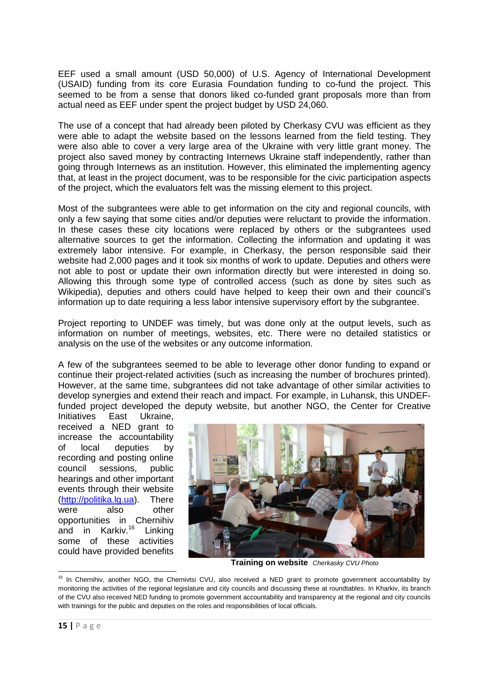EEF used a small amount (USD 50,000) of U.S. Agency of International Development (USAID) funding from its core Eurasia Foundation funding to co-fund the project. This seemed to be from a sense that donors liked co-funded grant proposals more than from actual need as EEF under spent the project budget by USD 24,060.

The use of a concept that had already been piloted by Cherkasy CVU was efficient as they were able to adapt the website based on the lessons learned from the field testing. They were also able to cover a very large area of the Ukraine with very little grant money. The project also saved money by contracting Internews Ukraine staff independently, rather than going through Internews as an institution. However, this eliminated the implementing agency that, at least in the project document, was to be responsible for the civic participation aspects of the project, which the evaluators felt was the missing element to this project.

Most of the subgrantees were able to get information on the city and regional councils, with only a few saying that some cities and/or deputies were reluctant to provide the information. In these cases these city locations were replaced by others or the subgrantees used alternative sources to get the information. Collecting the information and updating it was extremely labor intensive. For example, in Cherkasy, the person responsible said their website had 2,000 pages and it took six months of work to update. Deputies and others were not able to post or update their own information directly but were interested in doing so. Allowing this through some type of controlled access (such as done by sites such as Wikipedia), deputies and others could have helped to keep their own and their council's information up to date requiring a less labor intensive supervisory effort by the subgrantee.

Project reporting to UNDEF was timely, but was done only at the output levels, such as information on number of meetings, websites, etc. There were no detailed statistics or analysis on the use of the websites or any outcome information.

A few of the subgrantees seemed to be able to leverage other donor funding to expand or continue their project-related activities (such as increasing the number of brochures printed). However, at the same time, subgrantees did not take advantage of other similar activities to develop synergies and extend their reach and impact. For example, in Luhansk, this UNDEFfunded project developed the deputy website, but another NGO, the Center for Creative

Initiatives East Ukraine, received a NED grant to increase the accountability of local deputies by recording and posting online council sessions, public hearings and other important events through their website [\(http://politika.lg.ua\)](http://politika.lg.ua/). There were also other opportunities in Chernihiv and in Karkiv.<sup>16</sup> Linking some of these activities could have provided benefits



 **Training on website** *Cherkasky CVU Photo*

**.** 

<sup>&</sup>lt;sup>16</sup> In Chernihiv, another NGO, the Chernivtsi CVU, also received a NED grant to promote government accountability by monitoring the activities of the regional legislature and city councils and discussing these at roundtables. In Kharkiv, its branch of the CVU also received NED funding to promote government accountability and transparency at the regional and city councils with trainings for the public and deputies on the roles and responsibilities of local officials.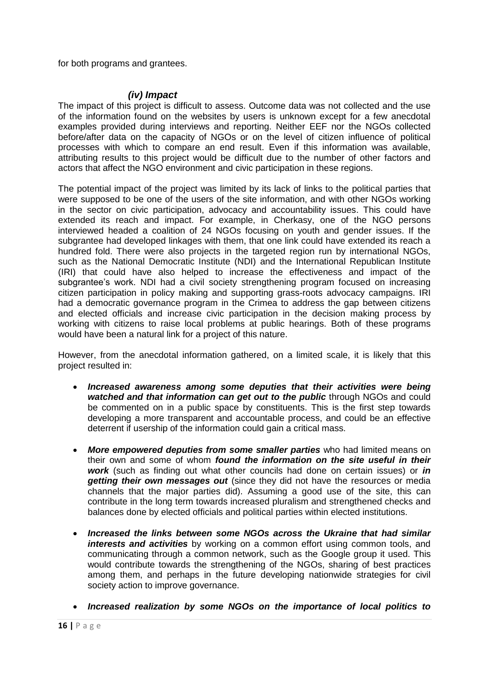for both programs and grantees.

### *(iv) Impact*

<span id="page-18-0"></span>The impact of this project is difficult to assess. Outcome data was not collected and the use of the information found on the websites by users is unknown except for a few anecdotal examples provided during interviews and reporting. Neither EEF nor the NGOs collected before/after data on the capacity of NGOs or on the level of citizen influence of political processes with which to compare an end result. Even if this information was available, attributing results to this project would be difficult due to the number of other factors and actors that affect the NGO environment and civic participation in these regions.

The potential impact of the project was limited by its lack of links to the political parties that were supposed to be one of the users of the site information, and with other NGOs working in the sector on civic participation, advocacy and accountability issues. This could have extended its reach and impact. For example, in Cherkasy, one of the NGO persons interviewed headed a coalition of 24 NGOs focusing on youth and gender issues. If the subgrantee had developed linkages with them, that one link could have extended its reach a hundred fold. There were also projects in the targeted region run by international NGOs, such as the National Democratic Institute (NDI) and the International Republican Institute (IRI) that could have also helped to increase the effectiveness and impact of the subgrantee's work. NDI had a civil society strengthening program focused on increasing citizen participation in policy making and supporting grass-roots advocacy campaigns. IRI had a democratic governance program in the Crimea to address the gap between citizens and elected officials and increase civic participation in the decision making process by working with citizens to raise local problems at public hearings. Both of these programs would have been a natural link for a project of this nature.

However, from the anecdotal information gathered, on a limited scale, it is likely that this project resulted in:

- *Increased awareness among some deputies that their activities were being*  **watched and that information can get out to the public** through NGOs and could be commented on in a public space by constituents. This is the first step towards developing a more transparent and accountable process, and could be an effective deterrent if usership of the information could gain a critical mass.
- *More empowered deputies from some smaller parties* who had limited means on their own and some of whom *found the information on the site useful in their work* (such as finding out what other councils had done on certain issues) or *in getting their own messages out* (since they did not have the resources or media channels that the major parties did). Assuming a good use of the site, this can contribute in the long term towards increased pluralism and strengthened checks and balances done by elected officials and political parties within elected institutions.
- *Increased the links between some NGOs across the Ukraine that had similar interests and activities* by working on a common effort using common tools, and communicating through a common network, such as the Google group it used. This would contribute towards the strengthening of the NGOs, sharing of best practices among them, and perhaps in the future developing nationwide strategies for civil society action to improve governance.
- *Increased realization by some NGOs on the importance of local politics to*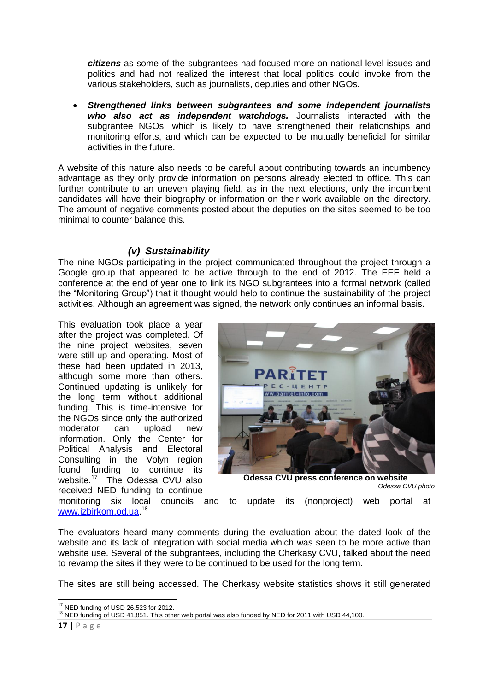*citizens* as some of the subgrantees had focused more on national level issues and politics and had not realized the interest that local politics could invoke from the various stakeholders, such as journalists, deputies and other NGOs.

 *Strengthened links between subgrantees and some independent journalists who also act as independent watchdogs.* Journalists interacted with the subgrantee NGOs, which is likely to have strengthened their relationships and monitoring efforts, and which can be expected to be mutually beneficial for similar activities in the future.

A website of this nature also needs to be careful about contributing towards an incumbency advantage as they only provide information on persons already elected to office. This can further contribute to an uneven playing field, as in the next elections, only the incumbent candidates will have their biography or information on their work available on the directory. The amount of negative comments posted about the deputies on the sites seemed to be too minimal to counter balance this.

### *(v) Sustainability*

<span id="page-19-0"></span>The nine NGOs participating in the project communicated throughout the project through a Google group that appeared to be active through to the end of 2012. The EEF held a conference at the end of year one to link its NGO subgrantees into a formal network (called the "Monitoring Group") that it thought would help to continue the sustainability of the project activities. Although an agreement was signed, the network only continues an informal basis.

This evaluation took place a year after the project was completed. Of the nine project websites, seven were still up and operating. Most of these had been updated in 2013, although some more than others. Continued updating is unlikely for the long term without additional funding. This is time-intensive for the NGOs since only the authorized moderator can upload new information. Only the Center for Political Analysis and Electoral Consulting in the Volyn region found funding to continue its website. <sup>17</sup> The Odessa CVU also received NED funding to continue



**Odessa CVU press conference on website** 

*Odessa CVU photo*

monitoring six local councils and to update its (nonproject) web portal at [www.izbirkom.od.ua.](http://www.izbirkom.od.ua/)<sup>18</sup>

The evaluators heard many comments during the evaluation about the dated look of the website and its lack of integration with social media which was seen to be more active than website use. Several of the subgrantees, including the Cherkasy CVU, talked about the need to revamp the sites if they were to be continued to be used for the long term.

The sites are still being accessed. The Cherkasy website statistics shows it still generated

<sup>1</sup>  $17$  NED funding of USD 26,523 for 2012.

<sup>&</sup>lt;sup>18</sup> NED funding of USD 41,851. This other web portal was also funded by NED for 2011 with USD 44,100.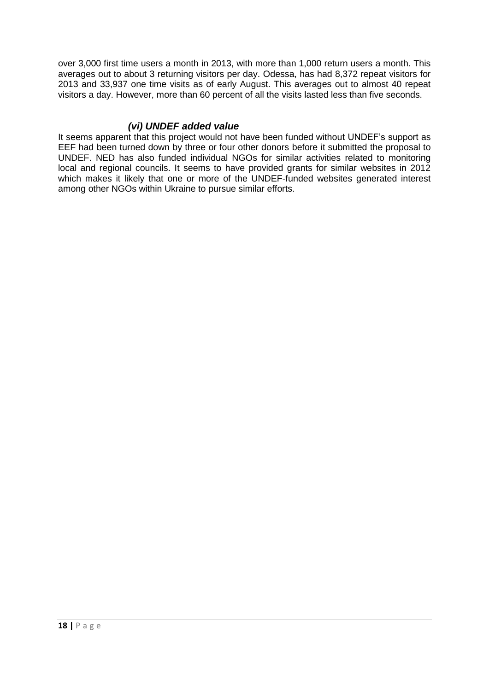over 3,000 first time users a month in 2013, with more than 1,000 return users a month. This averages out to about 3 returning visitors per day. Odessa, has had 8,372 repeat visitors for 2013 and 33,937 one time visits as of early August. This averages out to almost 40 repeat visitors a day. However, more than 60 percent of all the visits lasted less than five seconds.

### *(vi) UNDEF added value*

<span id="page-20-0"></span>It seems apparent that this project would not have been funded without UNDEF's support as EEF had been turned down by three or four other donors before it submitted the proposal to UNDEF. NED has also funded individual NGOs for similar activities related to monitoring local and regional councils. It seems to have provided grants for similar websites in 2012 which makes it likely that one or more of the UNDEF-funded websites generated interest among other NGOs within Ukraine to pursue similar efforts.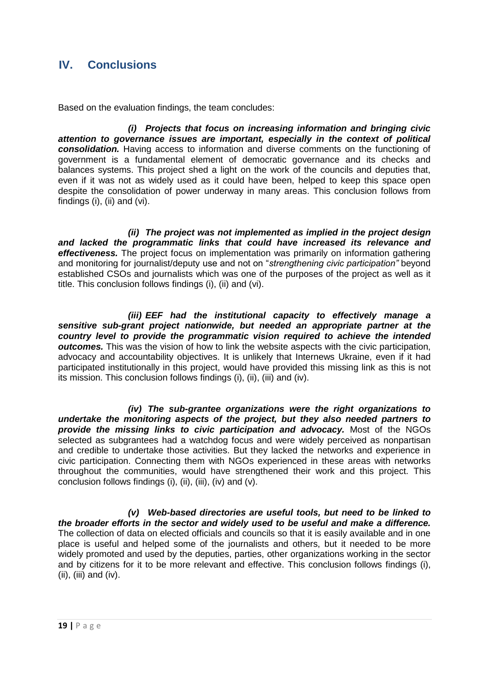## <span id="page-21-0"></span>**IV. Conclusions**

Based on the evaluation findings, the team concludes:

*(i) Projects that focus on increasing information and bringing civic attention to governance issues are important, especially in the context of political consolidation.* Having access to information and diverse comments on the functioning of government is a fundamental element of democratic governance and its checks and balances systems. This project shed a light on the work of the councils and deputies that, even if it was not as widely used as it could have been, helped to keep this space open despite the consolidation of power underway in many areas. This conclusion follows from findings (i), (ii) and (vi).

*(ii) The project was not implemented as implied in the project design and lacked the programmatic links that could have increased its relevance and effectiveness.* The project focus on implementation was primarily on information gathering and monitoring for journalist/deputy use and not on "*strengthening civic participation"* beyond established CSOs and journalists which was one of the purposes of the project as well as it title. This conclusion follows findings (i), (ii) and (vi).

*(iii) EEF had the institutional capacity to effectively manage a sensitive sub-grant project nationwide, but needed an appropriate partner at the country level to provide the programmatic vision required to achieve the intended outcomes.* This was the vision of how to link the website aspects with the civic participation, advocacy and accountability objectives. It is unlikely that Internews Ukraine, even if it had participated institutionally in this project, would have provided this missing link as this is not its mission. This conclusion follows findings (i), (ii), (iii) and (iv).

*(iv) The sub-grantee organizations were the right organizations to undertake the monitoring aspects of the project, but they also needed partners to provide the missing links to civic participation and advocacy.* Most of the NGOs selected as subgrantees had a watchdog focus and were widely perceived as nonpartisan and credible to undertake those activities. But they lacked the networks and experience in civic participation. Connecting them with NGOs experienced in these areas with networks throughout the communities, would have strengthened their work and this project. This conclusion follows findings (i), (ii), (iii), (iv) and (v).

*(v) Web-based directories are useful tools, but need to be linked to the broader efforts in the sector and widely used to be useful and make a difference.* The collection of data on elected officials and councils so that it is easily available and in one place is useful and helped some of the journalists and others, but it needed to be more widely promoted and used by the deputies, parties, other organizations working in the sector and by citizens for it to be more relevant and effective. This conclusion follows findings (i), (ii), (iii) and (iv).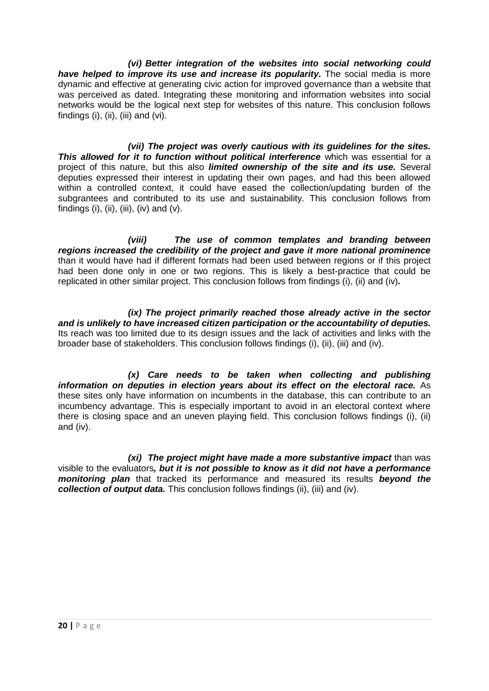*(vi) Better integration of the websites into social networking could have helped to improve its use and increase its popularity.* The social media is more dynamic and effective at generating civic action for improved governance than a website that was perceived as dated. Integrating these monitoring and information websites into social networks would be the logical next step for websites of this nature. This conclusion follows findings  $(i)$ ,  $(ii)$ ,  $(iii)$  and  $(vi)$ .

*(vii) The project was overly cautious with its guidelines for the sites.* **This allowed for it to function without political interference** which was essential for a project of this nature, but this also *limited ownership of the site and its use.* Several deputies expressed their interest in updating their own pages, and had this been allowed within a controlled context, it could have eased the collection/updating burden of the subgrantees and contributed to its use and sustainability. This conclusion follows from findings (i), (ii), (iii), (iv) and  $(v)$ .

*(viii) The use of common templates and branding between regions increased the credibility of the project and gave it more national prominence*  than it would have had if different formats had been used between regions or if this project had been done only in one or two regions. This is likely a best-practice that could be replicated in other similar project. This conclusion follows from findings (i), (ii) and (iv)*.* 

*(ix) The project primarily reached those already active in the sector and is unlikely to have increased citizen participation or the accountability of deputies.*  Its reach was too limited due to its design issues and the lack of activities and links with the broader base of stakeholders. This conclusion follows findings (i), (ii), (iii) and (iv).

*(x) Care needs to be taken when collecting and publishing information on deputies in election years about its effect on the electoral race.* As these sites only have information on incumbents in the database, this can contribute to an incumbency advantage. This is especially important to avoid in an electoral context where there is closing space and an uneven playing field. This conclusion follows findings (i), (ii) and (iv).

*(xi) The project might have made a more substantive impact* than was visible to the evaluators*, but it is not possible to know as it did not have a performance monitoring plan* that tracked its performance and measured its results *beyond the collection of output data.* This conclusion follows findings (ii), (iii) and (iv).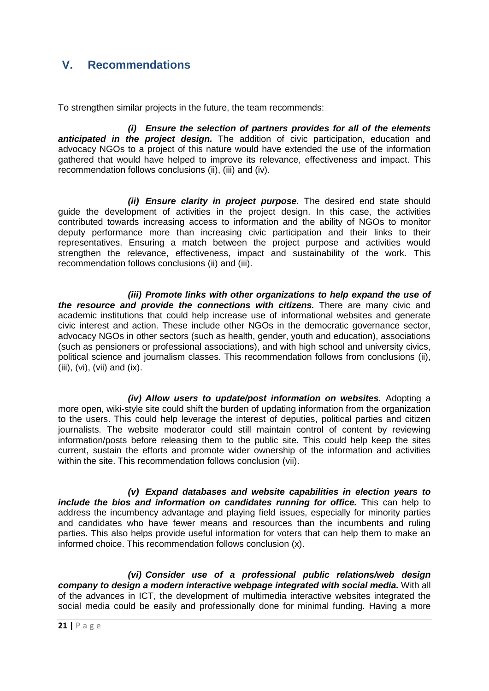# <span id="page-23-0"></span>**V. Recommendations**

To strengthen similar projects in the future, the team recommends:

*(i) Ensure the selection of partners provides for all of the elements anticipated in the project design.* The addition of civic participation, education and advocacy NGOs to a project of this nature would have extended the use of the information gathered that would have helped to improve its relevance, effectiveness and impact. This recommendation follows conclusions (ii), (iii) and (iv).

*(ii) Ensure clarity in project purpose.* The desired end state should guide the development of activities in the project design. In this case, the activities contributed towards increasing access to information and the ability of NGOs to monitor deputy performance more than increasing civic participation and their links to their representatives. Ensuring a match between the project purpose and activities would strengthen the relevance, effectiveness, impact and sustainability of the work. This recommendation follows conclusions (ii) and (iii).

*(iii) Promote links with other organizations to help expand the use of the resource and provide the connections with citizens.* There are many civic and academic institutions that could help increase use of informational websites and generate civic interest and action. These include other NGOs in the democratic governance sector, advocacy NGOs in other sectors (such as health, gender, youth and education), associations (such as pensioners or professional associations), and with high school and university civics, political science and journalism classes. This recommendation follows from conclusions (ii), (iii), (vi), (vii) and (ix).

*(iv) Allow users to update/post information on websites.* Adopting a more open, wiki-style site could shift the burden of updating information from the organization to the users. This could help leverage the interest of deputies, political parties and citizen journalists. The website moderator could still maintain control of content by reviewing information/posts before releasing them to the public site. This could help keep the sites current, sustain the efforts and promote wider ownership of the information and activities within the site. This recommendation follows conclusion (vii).

*(v) Expand databases and website capabilities in election years to include the bios and information on candidates running for office.* This can help to address the incumbency advantage and playing field issues, especially for minority parties and candidates who have fewer means and resources than the incumbents and ruling parties. This also helps provide useful information for voters that can help them to make an informed choice. This recommendation follows conclusion (x).

*(vi) Consider use of a professional public relations/web design company to design a modern interactive webpage integrated with social media.* With all of the advances in ICT, the development of multimedia interactive websites integrated the social media could be easily and professionally done for minimal funding. Having a more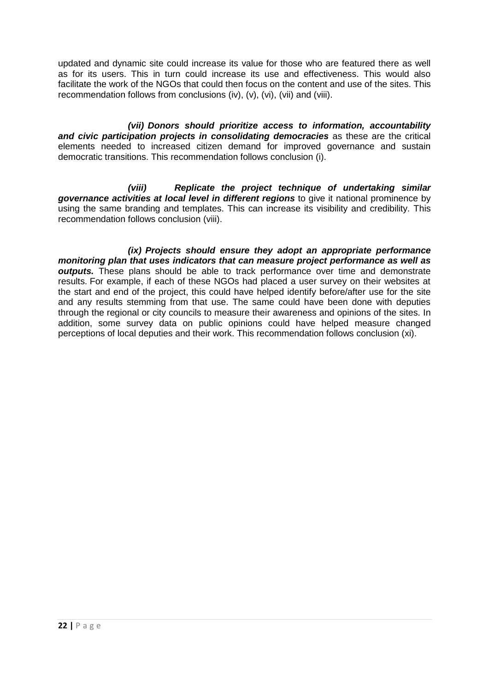updated and dynamic site could increase its value for those who are featured there as well as for its users. This in turn could increase its use and effectiveness. This would also facilitate the work of the NGOs that could then focus on the content and use of the sites. This recommendation follows from conclusions (iv), (v), (vi), (vii) and (viii).

*(vii) Donors should prioritize access to information, accountability and civic participation projects in consolidating democracies* as these are the critical elements needed to increased citizen demand for improved governance and sustain democratic transitions. This recommendation follows conclusion (i).

*(viii) Replicate the project technique of undertaking similar*  **governance activities at local level in different regions** to give it national prominence by using the same branding and templates. This can increase its visibility and credibility. This recommendation follows conclusion (viii).

*(ix) Projects should ensure they adopt an appropriate performance monitoring plan that uses indicators that can measure project performance as well as outputs.* These plans should be able to track performance over time and demonstrate results. For example, if each of these NGOs had placed a user survey on their websites at the start and end of the project, this could have helped identify before/after use for the site and any results stemming from that use. The same could have been done with deputies through the regional or city councils to measure their awareness and opinions of the sites. In addition, some survey data on public opinions could have helped measure changed perceptions of local deputies and their work. This recommendation follows conclusion (xi).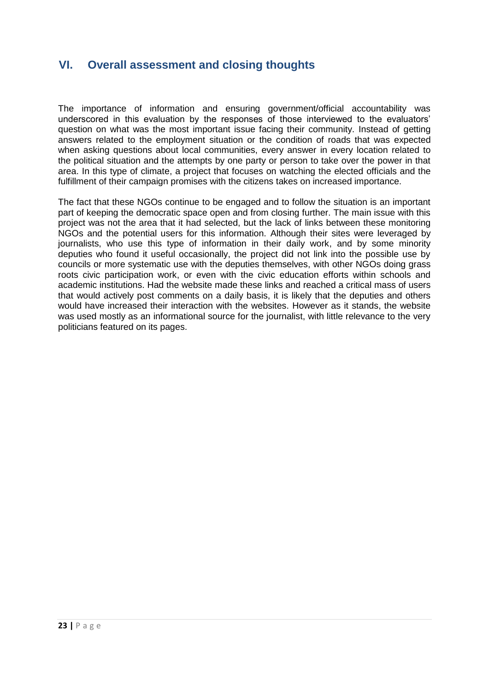## <span id="page-25-0"></span>**VI. Overall assessment and closing thoughts**

The importance of information and ensuring government/official accountability was underscored in this evaluation by the responses of those interviewed to the evaluators' question on what was the most important issue facing their community. Instead of getting answers related to the employment situation or the condition of roads that was expected when asking questions about local communities, every answer in every location related to the political situation and the attempts by one party or person to take over the power in that area. In this type of climate, a project that focuses on watching the elected officials and the fulfillment of their campaign promises with the citizens takes on increased importance.

The fact that these NGOs continue to be engaged and to follow the situation is an important part of keeping the democratic space open and from closing further. The main issue with this project was not the area that it had selected, but the lack of links between these monitoring NGOs and the potential users for this information. Although their sites were leveraged by journalists, who use this type of information in their daily work, and by some minority deputies who found it useful occasionally, the project did not link into the possible use by councils or more systematic use with the deputies themselves, with other NGOs doing grass roots civic participation work, or even with the civic education efforts within schools and academic institutions. Had the website made these links and reached a critical mass of users that would actively post comments on a daily basis, it is likely that the deputies and others would have increased their interaction with the websites. However as it stands, the website was used mostly as an informational source for the journalist, with little relevance to the very politicians featured on its pages.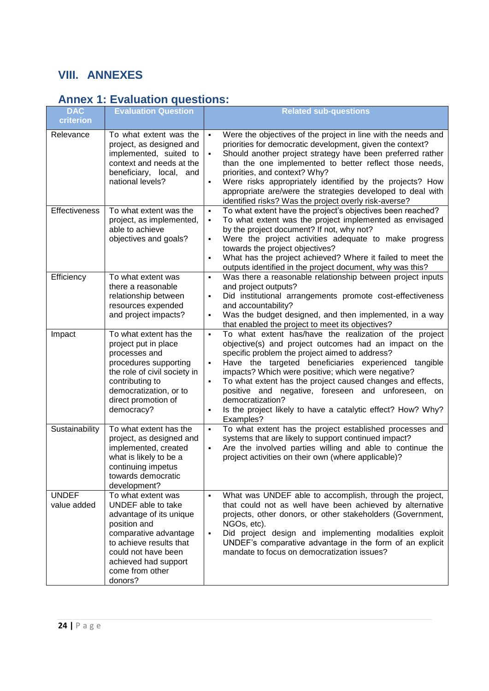# <span id="page-26-0"></span>**VIII. ANNEXES**

# <span id="page-26-1"></span>**Annex 1: Evaluation questions:**

| <b>DAC</b><br>criterion     | <b>Evaluation Question</b>                                                                                                                                                                                           | <b>Related sub-questions</b>                                                                                                                                                                                                                                                                                                                                                                                                                                                                                                                                                       |
|-----------------------------|----------------------------------------------------------------------------------------------------------------------------------------------------------------------------------------------------------------------|------------------------------------------------------------------------------------------------------------------------------------------------------------------------------------------------------------------------------------------------------------------------------------------------------------------------------------------------------------------------------------------------------------------------------------------------------------------------------------------------------------------------------------------------------------------------------------|
| Relevance                   | To what extent was the<br>project, as designed and<br>implemented, suited to<br>context and needs at the<br>beneficiary, local, and<br>national levels?                                                              | Were the objectives of the project in line with the needs and<br>$\blacksquare$<br>priorities for democratic development, given the context?<br>Should another project strategy have been preferred rather<br>$\blacksquare$<br>than the one implemented to better reflect those needs,<br>priorities, and context? Why?<br>Were risks appropriately identified by the projects? How<br>$\blacksquare$<br>appropriate are/were the strategies developed to deal with<br>identified risks? Was the project overly risk-averse?                                                      |
| Effectiveness               | To what extent was the<br>project, as implemented,<br>able to achieve<br>objectives and goals?                                                                                                                       | To what extent have the project's objectives been reached?<br>$\blacksquare$<br>To what extent was the project implemented as envisaged<br>$\blacksquare$<br>by the project document? If not, why not?<br>Were the project activities adequate to make progress<br>$\blacksquare$<br>towards the project objectives?<br>What has the project achieved? Where it failed to meet the<br>$\blacksquare$<br>outputs identified in the project document, why was this?                                                                                                                  |
| Efficiency                  | To what extent was<br>there a reasonable<br>relationship between<br>resources expended<br>and project impacts?                                                                                                       | Was there a reasonable relationship between project inputs<br>$\blacksquare$<br>and project outputs?<br>Did institutional arrangements promote cost-effectiveness<br>٠<br>and accountability?<br>Was the budget designed, and then implemented, in a way<br>$\blacksquare$<br>that enabled the project to meet its objectives?                                                                                                                                                                                                                                                     |
| Impact                      | To what extent has the<br>project put in place<br>processes and<br>procedures supporting<br>the role of civil society in<br>contributing to<br>democratization, or to<br>direct promotion of<br>democracy?           | To what extent has/have the realization of the project<br>$\blacksquare$<br>objective(s) and project outcomes had an impact on the<br>specific problem the project aimed to address?<br>Have the targeted beneficiaries experienced tangible<br>$\blacksquare$<br>impacts? Which were positive; which were negative?<br>To what extent has the project caused changes and effects,<br>$\blacksquare$<br>positive and negative, foreseen and<br>unforeseen,<br>on<br>democratization?<br>Is the project likely to have a catalytic effect? How? Why?<br>$\blacksquare$<br>Examples? |
| Sustainability              | To what extent has the<br>project, as designed and<br>implemented, created<br>what is likely to be a<br>continuing impetus<br>towards democratic<br>development?                                                     | To what extent has the project established processes and<br>$\blacksquare$<br>systems that are likely to support continued impact?<br>Are the involved parties willing and able to continue the<br>$\blacksquare$<br>project activities on their own (where applicable)?                                                                                                                                                                                                                                                                                                           |
| <b>UNDEF</b><br>value added | To what extent was<br>UNDEF able to take<br>advantage of its unique<br>position and<br>comparative advantage<br>to achieve results that<br>could not have been<br>achieved had support<br>come from other<br>donors? | What was UNDEF able to accomplish, through the project,<br>$\blacksquare$<br>that could not as well have been achieved by alternative<br>projects, other donors, or other stakeholders (Government,<br>NGOs, etc).<br>Did project design and implementing modalities exploit<br>$\blacksquare$<br>UNDEF's comparative advantage in the form of an explicit<br>mandate to focus on democratization issues?                                                                                                                                                                          |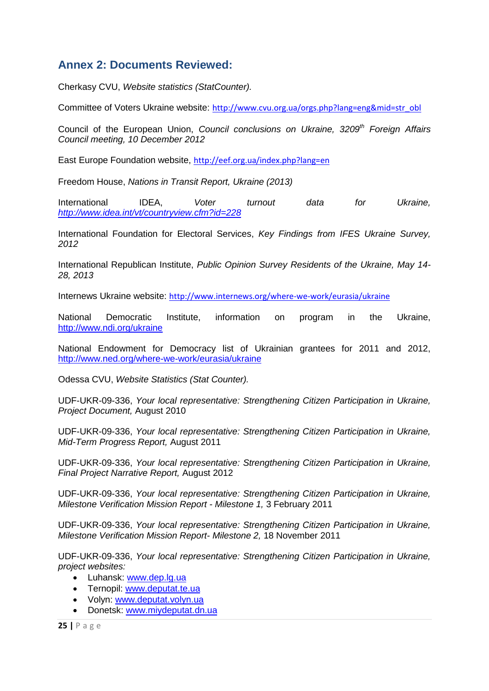# <span id="page-27-0"></span>**Annex 2: Documents Reviewed:**

Cherkasy CVU, *Website statistics (StatCounter).*

Committee of Voters Ukraine website: [http://www.cvu.org.ua/orgs.php?lang=eng&mid=str\\_obl](http://www.cvu.org.ua/orgs.php?lang=eng&mid=str_obl)

Council of the European Union, *Council conclusions on Ukraine, 3209th Foreign Affairs Council meeting, 10 December 2012*

East Europe Foundation website, <http://eef.org.ua/index.php?lang=en>

Freedom House, *Nations in Transit Report, Ukraine (2013)*

International IDEA, *Voter turnout data for Ukraine, <http://www.idea.int/vt/countryview.cfm?id=228>*

International Foundation for Electoral Services, *Key Findings from IFES Ukraine Survey, 2012* 

International Republican Institute, *Public Opinion Survey Residents of the Ukraine, May 14- 28, 2013* 

Internews Ukraine website: <http://www.internews.org/where-we-work/eurasia/ukraine>

National Democratic Institute, information on program in the Ukraine, <http://www.ndi.org/ukraine>

National Endowment for Democracy list of Ukrainian grantees for 2011 and 2012, <http://www.ned.org/where-we-work/eurasia/ukraine>

Odessa CVU, *Website Statistics (Stat Counter).* 

UDF-UKR-09-336, *Your local representative: Strengthening Citizen Participation in Ukraine, Project Document,* August 2010

UDF-UKR-09-336, *Your local representative: Strengthening Citizen Participation in Ukraine, Mid-Term Progress Report,* August 2011

UDF-UKR-09-336, *Your local representative: Strengthening Citizen Participation in Ukraine, Final Project Narrative Report,* August 2012

UDF-UKR-09-336, *Your local representative: Strengthening Citizen Participation in Ukraine, Milestone Verification Mission Report - Milestone 1,* 3 February 2011

UDF-UKR-09-336, *Your local representative: Strengthening Citizen Participation in Ukraine, Milestone Verification Mission Report- Milestone 2,* 18 November 2011

UDF-UKR-09-336, *Your local representative: Strengthening Citizen Participation in Ukraine, project websites:*

- Luhansk: [www.dep.lg.ua](http://www.dep.lg.ua/)
- Ternopil: [www.deputat.te.ua](http://www.deputat.te.ua/)
- Volyn: [www.deputat.volyn.ua](http://www.deputat.volyn.ua/)
- Donetsk: [www.miydeputat.dn.ua](http://www.miydeputat.dn.ua/)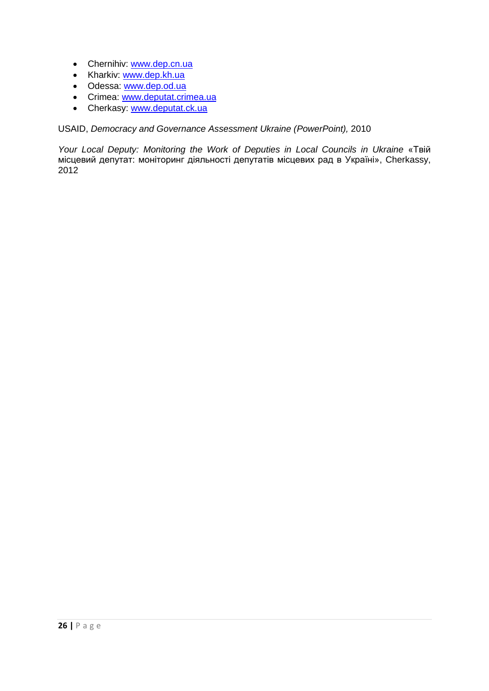- Chernihiv: [www.dep.cn.ua](http://www.dep.cn.ua/)
- Kharkiv: [www.dep.kh.ua](http://www.dep.kh.ua/)
- Odessa: [www.dep.od.ua](http://www.dep.od.ua/)
- Crimea: [www.deputat.crimea.ua](http://www.deputat.crimea.ua/)
- Cherkasy: [www.deputat.ck.ua](http://www.deputat.ck.ua/)

USAID, *Democracy and Governance Assessment Ukraine (PowerPoint),* 2010

*Your Local Deputy: Monitoring the Work of Deputies in Local Councils in Ukraine* «Твій місцевий депутат: моніторинг діяльності депутатів місцевих рад в Україні», Cherkassy, 2012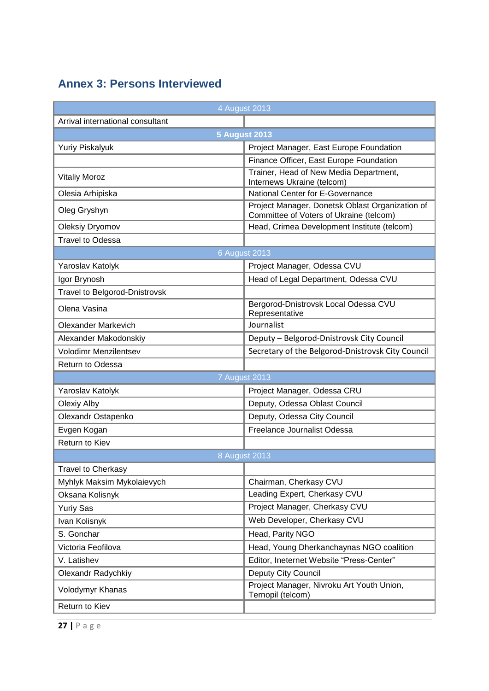# <span id="page-29-0"></span>**Annex 3: Persons Interviewed**

<span id="page-29-1"></span>

| 4 August 2013                        |                                                                                            |  |  |  |
|--------------------------------------|--------------------------------------------------------------------------------------------|--|--|--|
| Arrival international consultant     |                                                                                            |  |  |  |
| <b>5 August 2013</b>                 |                                                                                            |  |  |  |
| <b>Yuriy Piskalyuk</b>               | Project Manager, East Europe Foundation                                                    |  |  |  |
|                                      | Finance Officer, East Europe Foundation                                                    |  |  |  |
| <b>Vitaliy Moroz</b>                 | Trainer, Head of New Media Department,<br>Internews Ukraine (telcom)                       |  |  |  |
| Olesia Arhipiska                     | National Center for E-Governance                                                           |  |  |  |
| Oleg Gryshyn                         | Project Manager, Donetsk Oblast Organization of<br>Committee of Voters of Ukraine (telcom) |  |  |  |
| Oleksiy Dryomov                      | Head, Crimea Development Institute (telcom)                                                |  |  |  |
| <b>Travel to Odessa</b>              |                                                                                            |  |  |  |
|                                      | <b>6 August 2013</b>                                                                       |  |  |  |
| Yaroslav Katolyk                     | Project Manager, Odessa CVU                                                                |  |  |  |
| Igor Brynosh                         | Head of Legal Department, Odessa CVU                                                       |  |  |  |
| <b>Travel to Belgorod-Dnistrovsk</b> |                                                                                            |  |  |  |
| Olena Vasina                         | Bergorod-Dnistrovsk Local Odessa CVU<br>Representative                                     |  |  |  |
| <b>Olexander Markevich</b>           | Journalist                                                                                 |  |  |  |
| Alexander Makodonskiy                | Deputy - Belgorod-Dnistrovsk City Council                                                  |  |  |  |
| Volodimr Menzilentsev                | Secretary of the Belgorod-Dnistrovsk City Council                                          |  |  |  |
| Return to Odessa                     |                                                                                            |  |  |  |
|                                      | <b>7 August 2013</b>                                                                       |  |  |  |
| Yaroslav Katolyk                     | Project Manager, Odessa CRU                                                                |  |  |  |
| <b>Olexiy Alby</b>                   | Deputy, Odessa Oblast Council                                                              |  |  |  |
| Olexandr Ostapenko                   | Deputy, Odessa City Council                                                                |  |  |  |
| Evgen Kogan                          | Freelance Journalist Odessa                                                                |  |  |  |
| Return to Kiev                       |                                                                                            |  |  |  |
| 8 August 2013                        |                                                                                            |  |  |  |
| <b>Travel to Cherkasy</b>            |                                                                                            |  |  |  |
| Myhlyk Maksim Mykolaievych           | Chairman, Cherkasy CVU                                                                     |  |  |  |
| Oksana Kolisnyk                      | Leading Expert, Cherkasy CVU                                                               |  |  |  |
| <b>Yuriy Sas</b>                     | Project Manager, Cherkasy CVU                                                              |  |  |  |
| Ivan Kolisnyk                        | Web Developer, Cherkasy CVU                                                                |  |  |  |
| S. Gonchar                           | Head, Parity NGO                                                                           |  |  |  |
| Victoria Feofilova                   | Head, Young Dherkanchaynas NGO coalition                                                   |  |  |  |
| V. Latishev                          | Editor, Ineternet Website "Press-Center"                                                   |  |  |  |
| Olexandr Radychkiy                   | Deputy City Council                                                                        |  |  |  |
| Volodymyr Khanas                     | Project Manager, Nivroku Art Youth Union,<br>Ternopil (telcom)                             |  |  |  |
| Return to Kiev                       |                                                                                            |  |  |  |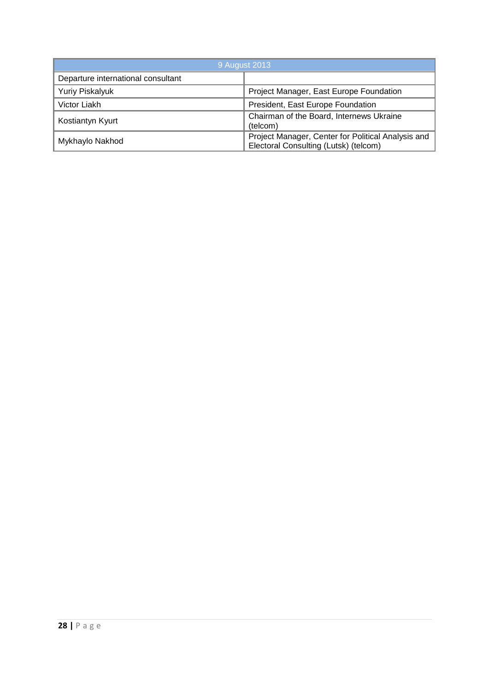| 9 August 2013                      |                                                                                             |  |
|------------------------------------|---------------------------------------------------------------------------------------------|--|
| Departure international consultant |                                                                                             |  |
| <b>Yuriy Piskalyuk</b>             | Project Manager, East Europe Foundation                                                     |  |
| Victor Liakh                       | President, East Europe Foundation                                                           |  |
| Kostiantyn Kyurt                   | Chairman of the Board, Internews Ukraine<br>(telcom)                                        |  |
| Mykhaylo Nakhod                    | Project Manager, Center for Political Analysis and<br>Electoral Consulting (Lutsk) (telcom) |  |